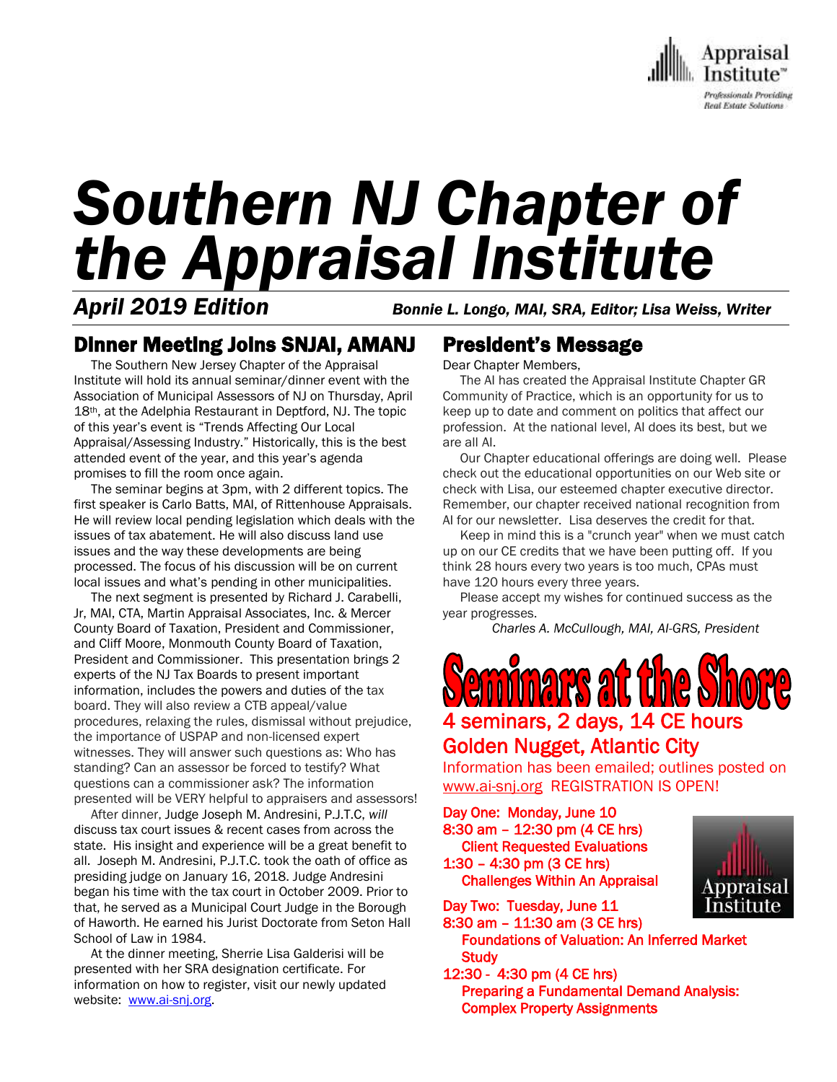

# *Southern NJ Chapter of the Appraisal Institute*

*April 2019 Edition Bonnie L. Longo, MAI, SRA, Editor; Lisa Weiss, Writer*

## Dinner Meeting Joins SNJAI, AMANJ

 The Southern New Jersey Chapter of the Appraisal Institute will hold its annual seminar/dinner event with the Association of Municipal Assessors of NJ on Thursday, April 18th, at the Adelphia Restaurant in Deptford, NJ. The topic of this year's event is "Trends Affecting Our Local Appraisal/Assessing Industry." Historically, this is the best attended event of the year, and this year's agenda promises to fill the room once again.

 The seminar begins at 3pm, with 2 different topics. The first speaker is Carlo Batts, MAI, of Rittenhouse Appraisals. He will review local pending legislation which deals with the issues of tax abatement. He will also discuss land use issues and the way these developments are being processed. The focus of his discussion will be on current local issues and what's pending in other municipalities.

 The next segment is presented by Richard J. Carabelli, Jr, MAI, CTA, Martin Appraisal Associates, Inc. & Mercer County Board of Taxation, President and Commissioner, and Cliff Moore, Monmouth County Board of Taxation, President and Commissioner. This presentation brings 2 experts of the NJ Tax Boards to present important information, includes the powers and duties of the tax board. They will also review a CTB appeal/value procedures, relaxing the rules, dismissal without prejudice, the importance of USPAP and non-licensed expert witnesses. They will answer such questions as: Who has standing? Can an assessor be forced to testify? What questions can a commissioner ask? The information presented will be VERY helpful to appraisers and assessors!

 After dinner, Judge Joseph M. Andresini, P.J.T.C, *will*  discuss tax court issues & recent cases from across the state. His insight and experience will be a great benefit to all. Joseph M. Andresini, P.J.T.C. took the oath of office as presiding judge on January 16, 2018. Judge Andresini began his time with the tax court in October 2009. Prior to that, he served as a Municipal Court Judge in the Borough of Haworth. He earned his Jurist Doctorate from Seton Hall School of Law in 1984.

 At the dinner meeting, Sherrie Lisa Galderisi will be presented with her SRA designation certificate. For information on how to register, visit our newly updated website: [www.ai-snj.org.](http://www.ai-snj.org/)

## President's Message

Dear Chapter Members,

 The AI has created the Appraisal Institute Chapter GR Community of Practice, which is an opportunity for us to keep up to date and comment on politics that affect our profession. At the national level, AI does its best, but we are all AI.

 Our Chapter educational offerings are doing well. Please check out the educational opportunities on our Web site or check with Lisa, our esteemed chapter executive director. Remember, our chapter received national recognition from AI for our newsletter. Lisa deserves the credit for that.

 Keep in mind this is a "crunch year" when we must catch up on our CE credits that we have been putting off. If you think 28 hours every two years is too much, CPAs must have 120 hours every three years.

 Please accept my wishes for continued success as the year progresses.

*Charles A. McCullough, MAI, AI-GRS, President*

**Seminars at the** 4 seminars, 2 days, 14 CE hours

## Golden Nugget, Atlantic City

Information has been emailed; outlines posted on [www.ai-snj.org](http://www.ai-snj.org/) REGISTRATION IS OPEN!

Day One: Monday, June 10 8:30 am – 12:30 pm (4 CE hrs) Client Requested Evaluations 1:30 – 4:30 pm (3 CE hrs) Challenges Within An Appraisal

Day Two: Tuesday, June 11

8:30 am – 11:30 am (3 CE hrs) Foundations of Valuation: An Inferred Market **Study** 

12:30 - 4:30 pm (4 CE hrs) Preparing a Fundamental Demand Analysis: Complex Property Assignments

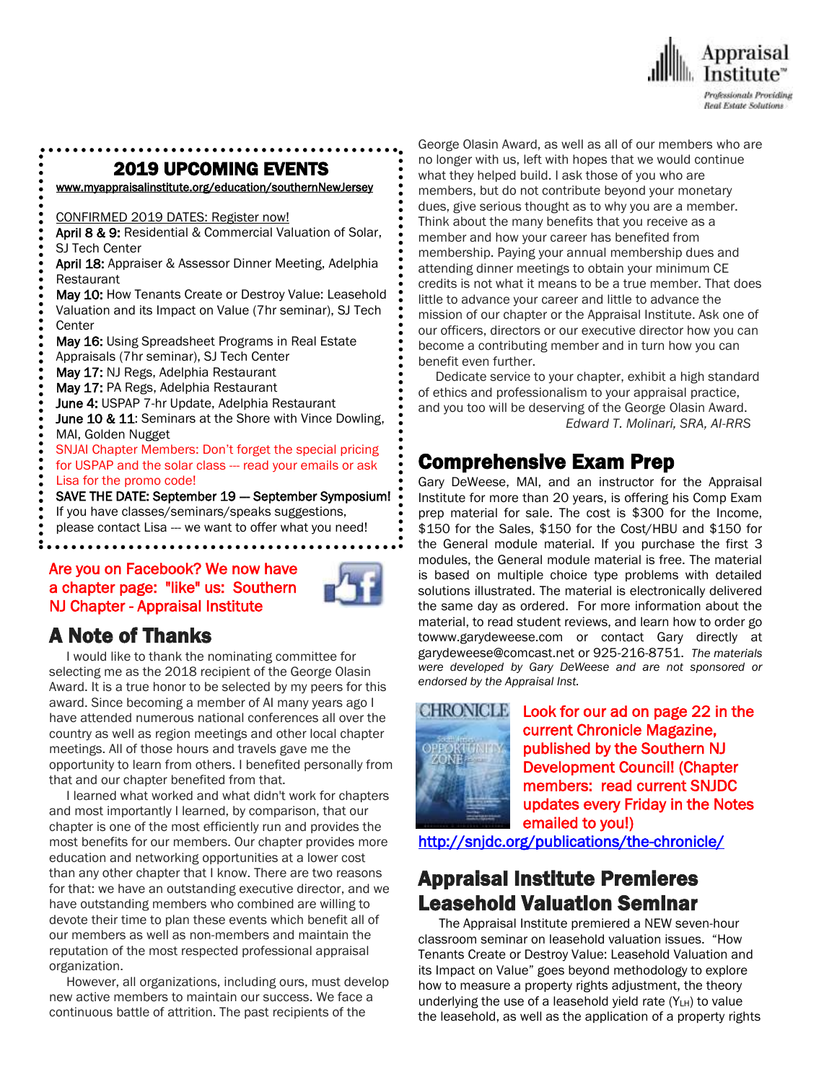

## . 2019 UPCOMING EVENTS

[www.myappraisalinstitute.org/education/southernNewJersey](http://www.myappraisalinstitute.org/education/southernNewJersey)

CONFIRMED 2019 DATES: Register now!

April 8 & 9: Residential & Commercial Valuation of Solar, SJ Tech Center

April 18: Appraiser & Assessor Dinner Meeting, Adelphia Restaurant

May 10: How Tenants Create or Destroy Value: Leasehold Valuation and its Impact on Value (7hr seminar), SJ Tech **Center** 

May 16: Using Spreadsheet Programs in Real Estate

Appraisals (7hr seminar), SJ Tech Center

May 17: NJ Regs, Adelphia Restaurant

May 17: PA Regs, Adelphia Restaurant

June 4: USPAP 7-hr Update, Adelphia Restaurant

June 10 & 11: Seminars at the Shore with Vince Dowling, MAI, Golden Nugget

SNJAI Chapter Members: Don't forget the special pricing

for USPAP and the solar class --- read your emails or ask

Lisa for the promo code!

SAVE THE DATE: September 19 - September Symposium!

- If you have classes/seminars/speaks suggestions,
- please contact Lisa --- we want to offer what you need!  $\overline{\phantom{0}}$

### Are you on Facebook? We now have a chapter page: "like" us: Southern NJ Chapter - Appraisal Institute



## A Note of Thanks

 I would like to thank the nominating committee for selecting me as the 2018 recipient of the George Olasin Award. It is a true honor to be selected by my peers for this award. Since becoming a member of AI many years ago I have attended numerous national conferences all over the country as well as region meetings and other local chapter meetings. All of those hours and travels gave me the opportunity to learn from others. I benefited personally from that and our chapter benefited from that.

 I learned what worked and what didn't work for chapters and most importantly I learned, by comparison, that our chapter is one of the most efficiently run and provides the most benefits for our members. Our chapter provides more education and networking opportunities at a lower cost than any other chapter that I know. There are two reasons for that: we have an outstanding executive director, and we have outstanding members who combined are willing to devote their time to plan these events which benefit all of our members as well as non-members and maintain the reputation of the most respected professional appraisal organization.

 However, all organizations, including ours, must develop new active members to maintain our success. We face a continuous battle of attrition. The past recipients of the

George Olasin Award, as well as all of our members who are no longer with us, left with hopes that we would continue what they helped build. I ask those of you who are members, but do not contribute beyond your monetary dues, give serious thought as to why you are a member. Think about the many benefits that you receive as a member and how your career has benefited from membership. Paying your annual membership dues and attending dinner meetings to obtain your minimum CE credits is not what it means to be a true member. That does little to advance your career and little to advance the mission of our chapter or the Appraisal Institute. Ask one of our officers, directors or our executive director how you can become a contributing member and in turn how you can benefit even further.

 Dedicate service to your chapter, exhibit a high standard of ethics and professionalism to your appraisal practice, and you too will be deserving of the George Olasin Award. *Edward T. Molinari, SRA, AI-RRS*

## Comprehensive Exam Prep

Gary DeWeese, MAI, and an instructor for the Appraisal Institute for more than 20 years, is offering his Comp Exam prep material for sale. The cost is \$300 for the Income, \$150 for the Sales, \$150 for the Cost/HBU and \$150 for the General module material. If you purchase the first 3 modules, the General module material is free. The material is based on multiple choice type problems with detailed solutions illustrated. The material is electronically delivered the same day as ordered. For more information about the material, to read student reviews, and learn how to order go towww.garydeweese.com or contact Gary directly at garydeweese@comcast.net or 925-216-8751. *The materials were developed by Gary DeWeese and are not sponsored or endorsed by the Appraisal Inst.*



Look for our ad on page 22 in the current Chronicle Magazine, published by the Southern NJ Development Council! (Chapter members: read current SNJDC updates every Friday in the Notes emailed to you!)

<http://snjdc.org/publications/the-chronicle/>

## Appraisal Institute Premieres Leasehold Valuation Seminar

 The Appraisal Institute premiered a NEW seven-hour classroom seminar on leasehold valuation issues. "How Tenants Create or Destroy Value: Leasehold Valuation and its Impact on Value" goes beyond methodology to explore how to measure a property rights adjustment, the theory underlying the use of a leasehold yield rate  $(Y_{LH})$  to value the leasehold, as well as the application of a property rights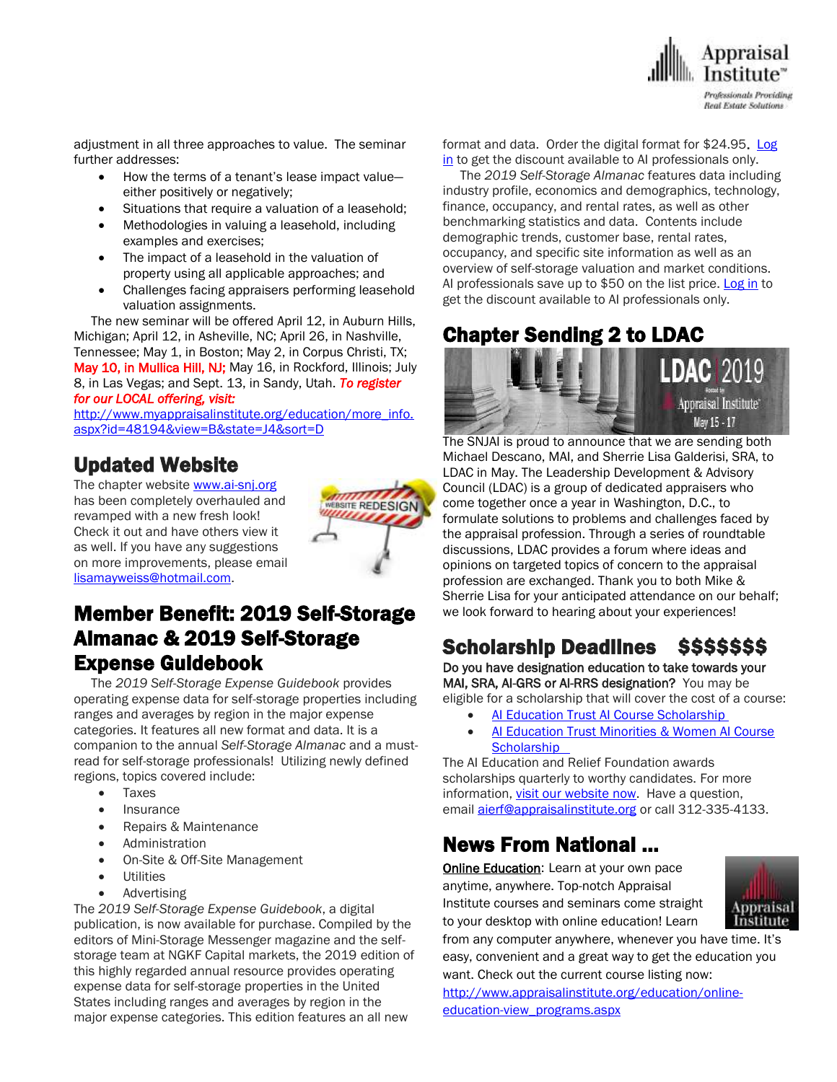

adjustment in all three approaches to value. The seminar further addresses:

- How the terms of a tenant's lease impact value either positively or negatively;
- Situations that require a valuation of a leasehold;
- Methodologies in valuing a leasehold, including examples and exercises;
- The impact of a leasehold in the valuation of property using all applicable approaches; and
- Challenges facing appraisers performing leasehold valuation assignments.

 The new seminar will be offered April 12, in Auburn Hills, Michigan; April 12, in Asheville, NC; April 26, in Nashville, Tennessee; May 1, in Boston; May 2, in Corpus Christi, TX; May 10, in Mullica Hill, NJ; May 16, in Rockford, Illinois; July 8, in Las Vegas; and Sept. 13, in Sandy, Utah. *To register for our LOCAL offering, visit:*

[http://www.myappraisalinstitute.org/education/more\\_info.](http://www.myappraisalinstitute.org/education/more_info.aspx?id=48194&view=B&state=J4&sort=D) [aspx?id=48194&view=B&state=J4&sort=D](http://www.myappraisalinstitute.org/education/more_info.aspx?id=48194&view=B&state=J4&sort=D)

## Updated Website

The chapter websit[e www.ai-snj.org](http://www.ai-snj.org/) has been completely overhauled and revamped with a new fresh look! Check it out and have others view it as well. If you have any suggestions on more improvements, please email [lisamayweiss@hotmail.com.](mailto:lisamayweiss@hotmail.com)



## Member Benefit: 2019 Self-Storage Almanac & 2019 Self-Storage Expense Guidebook

 The *2019 Self-Storage Expense Guidebook* provides operating expense data for self-storage properties including ranges and averages by region in the major expense categories. It features all new format and data. It is a companion to the annual *Self-Storage Almanac* and a mustread for self-storage professionals! Utilizing newly defined regions, topics covered include:

- Taxes
- Insurance
- Repairs & Maintenance
- Administration
- On-Site & Off-Site Management
- **Utilities**
- Advertising

The *2019 Self-Storage Expense Guidebook*, a digital publication, is now available for purchase. Compiled by the editors of Mini-Storage Messenger magazine and the selfstorage team at NGKF Capital markets, the 2019 edition of this highly regarded annual resource provides operating expense data for self-storage properties in the United States including ranges and averages by region in the major expense categories. This edition features an all new

format and data. Order the digital format for \$24.95. [Log](http://send.appraisalinstitute.org/link.cfm?r=b0cu52FEpQ5beQ1mo2g1Ag~~&pe=dba9zrdSCVLrkhSfkJeiJ-HtqcX3dUO7ZvPy_GZxKRq8oYx_FyW3pldTflCRr1YF0PqrtEsS4FHQqT2HWzdbsA~~&t=wuxyDBCMg44rsdTJoh04iQ~~) [in](http://send.appraisalinstitute.org/link.cfm?r=b0cu52FEpQ5beQ1mo2g1Ag~~&pe=dba9zrdSCVLrkhSfkJeiJ-HtqcX3dUO7ZvPy_GZxKRq8oYx_FyW3pldTflCRr1YF0PqrtEsS4FHQqT2HWzdbsA~~&t=wuxyDBCMg44rsdTJoh04iQ~~) to get the discount available to AI professionals only.

 The *2019 Self-Storage Almanac* features data including industry profile, economics and demographics, technology, finance, occupancy, and rental rates, as well as other benchmarking statistics and data. Contents include demographic trends, customer base, rental rates, occupancy, and specific site information as well as an overview of self-storage valuation and market conditions. AI professionals save up to \$50 on the list price. [Log](http://send.appraisalinstitute.org/link.cfm?r=b0cu52FEpQ5beQ1mo2g1Ag~~&pe=8Eg2sSA9Hy63AgIMADbwVXmtq4foMND4owzllYUafVzm1alSgZMrlGd-SyXu9Nit5UrLmbR5FA_z-02FOT2tEw~~&t=wuxyDBCMg44rsdTJoh04iQ~~) in to get the discount available to AI professionals only.

## Chapter Sending 2 to LDAC



The SNJAI is proud to announce that we are sending both Michael Descano, MAI, and Sherrie Lisa Galderisi, SRA, to LDAC in May. The Leadership Development & Advisory Council (LDAC) is a group of dedicated appraisers who come together once a year in Washington, D.C., to formulate solutions to problems and challenges faced by the appraisal profession. Through a series of roundtable discussions, LDAC provides a forum where ideas and opinions on targeted topics of concern to the appraisal profession are exchanged. Thank you to both Mike & Sherrie Lisa for your anticipated attendance on our behalf; we look forward to hearing about your experiences!

# Scholarship Deadlines \$\$\$\$\$\$\$

Do you have designation education to take towards your MAI, SRA, AI-GRS or AI-RRS designation? You may be eligible for a scholarship that will cover the cost of a course:

- [AI Education Trust AI Course Scholarship](http://send.appraisalinstitute.org/link.cfm?r=TyxXOooBFM-9kcaVyjABIA~~&pe=2LfVDLKkPw4a7iTJT6vFSRyUTGWvyKlgZVfaPxv8aeo3V7p4KW8PkzldlItyi6QjcBvOjG5kSbUVrCcwyOcfrw~~&t=tFW740karyB2Xp6B0vb37A~~)
- [AI Education Trust Minorities & Women AI Course](http://send.appraisalinstitute.org/link.cfm?r=TyxXOooBFM-9kcaVyjABIA~~&pe=buSm2u3XE0A-XOxJTNdDARx35OKrf9M7Cm1PFLBX8PcOseTGh-WmE1v1L86Qi2rC8D7CQupIRrnMkBAEYtTDfA~~&t=tFW740karyB2Xp6B0vb37A~~)  **Scholarship**

The AI Education and Relief Foundation awards scholarships quarterly to worthy candidates. For more information, [visit our website now.](http://send.appraisalinstitute.org/link.cfm?r=TyxXOooBFM-9kcaVyjABIA~~&pe=04S6BV_WRjPuRE9iBWgyet4QJhEnA9MTgKpjEHqURLFVBaSWFotXIxmjohy8sFUtAAx-lEomdoDTtMmRRRRz6g~~&t=tFW740karyB2Xp6B0vb37A~~) Have a question, email **[aierf@appraisalinstitute.org](mailto:aierf@appraisalinstitute.org)** or call 312-335-4133.

## News From National …

**[Online Education:](http://www.mmsend50.com/ls.cfm?r=99596491&sid=8974475&m=957997&u=Appraise&s=http://www.appraisalinstitute.org/online)** Learn at your own pace anytime, anywhere. Top-notch Appraisal Institute courses and seminars come straight to your desktop with online education! Learn



from any computer anywhere, whenever you have time. It's easy, convenient and a great way to get the education you want. Check out the current course listing now:

[http://www.appraisalinstitute.org/education/online](http://www.appraisalinstitute.org/education/online-education-view_programs.aspx)[education-view\\_programs.aspx](http://www.appraisalinstitute.org/education/online-education-view_programs.aspx)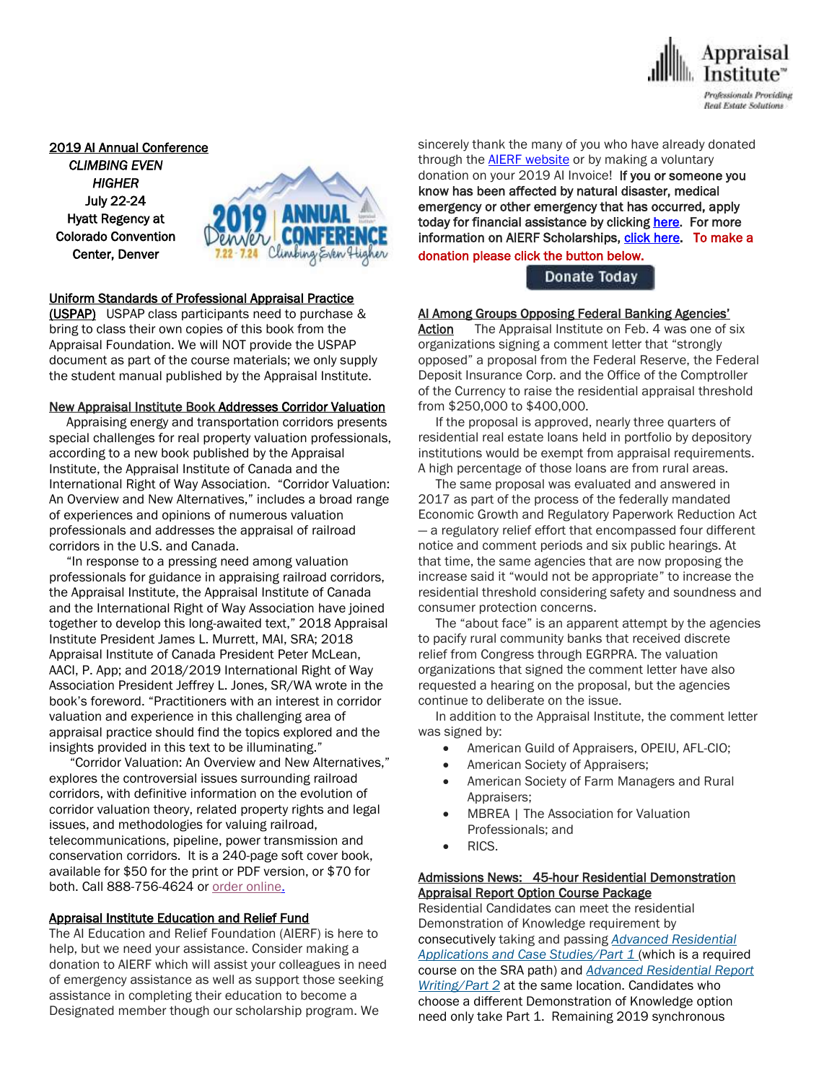

2019 AI Annual Conference *CLIMBING EVEN HIGHER*  July 22-24 Hyatt Regency at Colorado Convention Center, Denver



#### Uniform Standards of Professional Appraisal Practice

(USPAP) USPAP class participants need to purchase & bring to class their own copies of this book from the Appraisal Foundation. We will NOT provide the USPAP document as part of the course materials; we only supply the student manual published by the Appraisal Institute.

#### New Appraisal Institute Book Addresses Corridor Valuation

 Appraising energy and transportation corridors presents special challenges for real property valuation professionals, according to a new book published by the Appraisal Institute, the Appraisal Institute of Canada and the International Right of Way Association. "Corridor Valuation: An Overview and New Alternatives," includes a broad range of experiences and opinions of numerous valuation professionals and addresses the appraisal of railroad corridors in the U.S. and Canada.

 "In response to a pressing need among valuation professionals for guidance in appraising railroad corridors, the Appraisal Institute, the Appraisal Institute of Canada and the International Right of Way Association have joined together to develop this long-awaited text," 2018 Appraisal Institute President James L. Murrett, MAI, SRA; 2018 Appraisal Institute of Canada President Peter McLean, AACI, P. App; and 2018/2019 International Right of Way Association President Jeffrey L. Jones, SR/WA wrote in the book's foreword. "Practitioners with an interest in corridor valuation and experience in this challenging area of appraisal practice should find the topics explored and the insights provided in this text to be illuminating."

 "Corridor Valuation: An Overview and New Alternatives," explores the controversial issues surrounding railroad corridors, with definitive information on the evolution of corridor valuation theory, related property rights and legal issues, and methodologies for valuing railroad, telecommunications, pipeline, power transmission and conservation corridors. It is a 240-page soft cover book, available for \$50 for the print or PDF version, or \$70 for both. Call 888-756-4624 or order [online.](https://u7061146.ct.sendgrid.net/wf/click?upn=G62jSYfZdO-2F12d8lSllQB3CY5q6xmifocVmi-2FnSSQdWQ1AOBjunriu3kiQ10JPlp-2FRsgOVHA0NByzomWFAZ-2B44NoLd2JJDUi3m6tRh2-2FwauIiWOPYxrjthFX6293OWit_YRPfbc9BSCpXKTgdcsJ3-2BdZ9g32aJO-2Biq53XIHTGXdPSCWuUi9-2BY6YFy98ZD0OCM91-2B1BhN0lDKy6saJ-2FIaXt1W1ju27t0nAbEQ7uqog-2BIgg6V3uOYVf73tgsFsQ28quCbMVt-2FMHJU2xUauXNiyfa6bW-2F4kmVfYzgxxMtLcfFLSKXXXpQLrcZBMlbPVMkvEYIVJ2cN4uV5wU3tTrZimV9HCE4Pjy22MXv-2Fp3D8qtx4esdMAcgzkcgY-2B-2FQN0GazqJYMi43HEteGs5Wcev5q-2BGWrak3P4NlBC23HgQzZVABgWJcOS-2FUrHfH7elNGmiWqK3BB4ap3u-2B5NExfKVFRR-2B0j5NnQzD1pmycA-2BODqUyIykbI4CrTz1bFwk7gtfMGF3Xh)

#### Appraisal Institute Education and Relief Fund

The AI Education and Relief Foundation (AIERF) is here to help, but we need your assistance. Consider making a donation to AIERF which will assist your colleagues in need of emergency assistance as well as support those seeking assistance in completing their education to become a Designated member though our scholarship program. We

sincerely thank the many of you who have already donated through the **AIERF [website](http://send.appraisalinstitute.org/link.cfm?r=TyxXOooBFM-9kcaVyjABIA~~&pe=0NW2OADxNU3EbUKtXAumJeUpqRzVXH1D8cRwShNQ-UbhS48QracrK31x-qbZb4yXa5zgrr2l4GW7bac7143aSg~~&t=QIew13Z0zbjQIaET-qgxTA~~)** or by making a voluntary donation on your 2019 AI Invoice! If you or someone you know has been affected by natural disaster, medical emergency or other emergency that has occurred, apply today for financial assistance by clicking [here.](http://send.appraisalinstitute.org/link.cfm?r=TyxXOooBFM-9kcaVyjABIA~~&pe=VbUBYoFMnuJzhUrjk-o8vZPSVXCpTYNe26lfNuFxWBhKxDg23CxYeOqi7Txm-Wi-amng-zo24n1eN_5qljfqUg~~&t=QIew13Z0zbjQIaET-qgxTA~~) For more information on AIERF Scholarships[, click here.](http://send.appraisalinstitute.org/link.cfm?r=TyxXOooBFM-9kcaVyjABIA~~&pe=Hx6nUUZV6WqMrDEFqk3fbqFgGbsLqjMrNtunrYjElUG9Id-mmJo7ZCQN-DESuHRE0ecFjRJLsRGeLRsoZls26Q~~&t=QIew13Z0zbjQIaET-qgxTA~~) To make a donation please click the button below.

#### Donate Today

#### AI Among Groups Opposing Federal Banking Agencies'

Action The Appraisal Institute on Feb. 4 was one of six organizations signing a comment letter that "strongly opposed" a proposal from the Federal Reserve, the Federal Deposit Insurance Corp. and the Office of the Comptroller of the Currency to raise the residential appraisal threshold from \$250,000 to \$400,000.

 If the proposal is approved, nearly three quarters of residential real estate loans held in portfolio by depository institutions would be exempt from appraisal requirements. A high percentage of those loans are from rural areas.

 The same proposal was evaluated and answered in 2017 as part of the process of the federally mandated Economic Growth and Regulatory Paperwork Reduction Act — a regulatory relief effort that encompassed four different notice and comment periods and six public hearings. At that time, the same agencies that are now proposing the increase said it "would not be appropriate" to increase the residential threshold considering safety and soundness and consumer protection concerns.

 The "about face" is an apparent attempt by the agencies to pacify rural community banks that received discrete relief from Congress through EGRPRA. The valuation organizations that signed the comment letter have also requested a hearing on the proposal, but the agencies continue to deliberate on the issue.

 In addition to the Appraisal Institute, the comment letter was signed by:

- American Guild of Appraisers, OPEIU, AFL-CIO;
- American Society of Appraisers;
- American Society of Farm Managers and Rural Appraisers;
- MBREA | The Association for Valuation Professionals; and
- RICS.

#### Admissions News: 45-hour Residential Demonstration Appraisal Report Option Course Package

Residential Candidates can meet the residential Demonstration of Knowledge requirement by *c*onsecutively taking and passing *Advanced [Residential](http://send.appraisalinstitute.org/link.cfm?r=b0cu52FEpQ5beQ1mo2g1Ag~~&pe=Y3KJ7Pkp53cO1nHc2DFiqp5cZen4l0IMH_X5IN6OXV2hfbXVvZ-cuSbG1_s-Fwm-DRvlN7coKxTmEeHoZqkxRg~~&t=dE1fTzeatBFpjFQOaTHYHw~~) Applications and Case [Studies/Part](http://send.appraisalinstitute.org/link.cfm?r=b0cu52FEpQ5beQ1mo2g1Ag~~&pe=Y3KJ7Pkp53cO1nHc2DFiqp5cZen4l0IMH_X5IN6OXV2hfbXVvZ-cuSbG1_s-Fwm-DRvlN7coKxTmEeHoZqkxRg~~&t=dE1fTzeatBFpjFQOaTHYHw~~) 1* (which is a required course on the SRA path) and *Advanced [Residential](http://send.appraisalinstitute.org/link.cfm?r=b0cu52FEpQ5beQ1mo2g1Ag~~&pe=is2b7QH9M_Fd4-9kgirKVwlwQFagPgoU90xdJKTwOFGKWnC2xJmxECYFtD_2ylPQ3PEzUXb4CDoRCouzs_rX4Q~~&t=dE1fTzeatBFpjFQOaTHYHw~~) Report [Writing/Part](http://send.appraisalinstitute.org/link.cfm?r=b0cu52FEpQ5beQ1mo2g1Ag~~&pe=is2b7QH9M_Fd4-9kgirKVwlwQFagPgoU90xdJKTwOFGKWnC2xJmxECYFtD_2ylPQ3PEzUXb4CDoRCouzs_rX4Q~~&t=dE1fTzeatBFpjFQOaTHYHw~~) 2* at the same location. Candidates who choose a different Demonstration of Knowledge option need only take Part 1. Remaining 2019 synchronous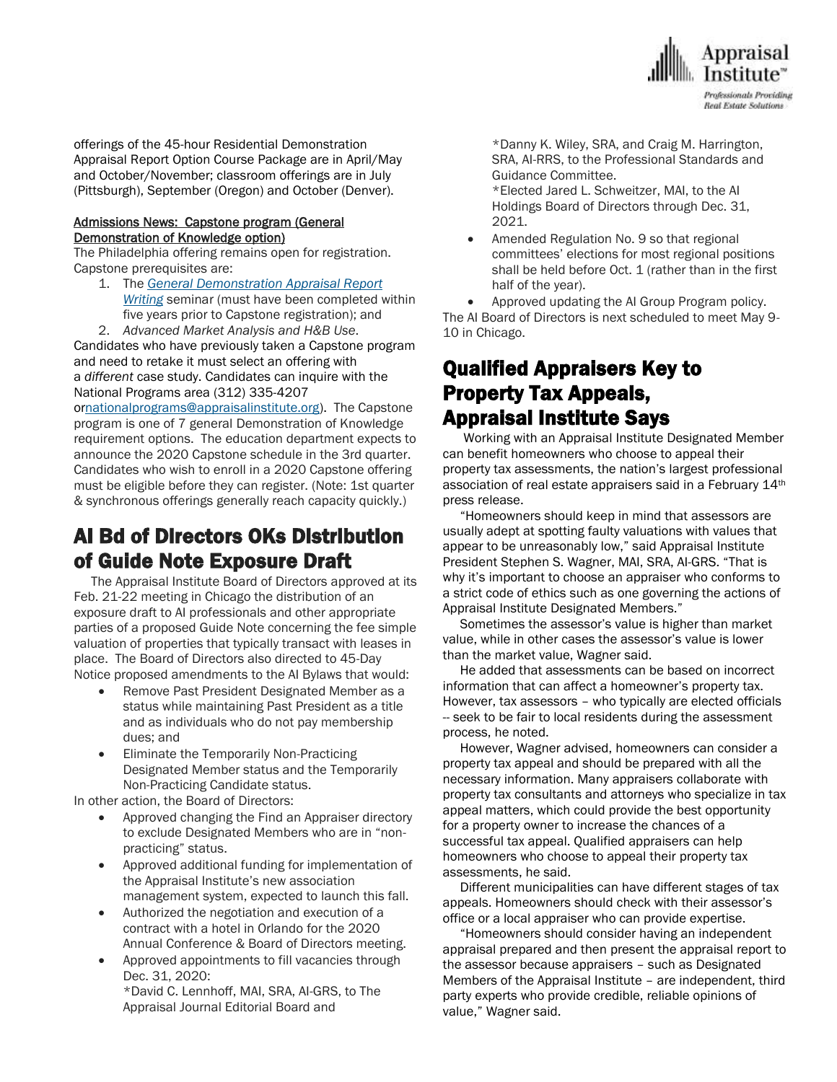

offerings of the 45-hour Residential Demonstration Appraisal Report Option Course Package are in April/May and October/November; classroom offerings are in July (Pittsburgh), September (Oregon) and October (Denver).

#### Admissions News: Capstone program (General Demonstration of Knowledge option)

The Philadelphia offering remains open for registration. Capstone prerequisites are:

- 1. The *General [Demonstration](http://send.appraisalinstitute.org/link.cfm?r=b0cu52FEpQ5beQ1mo2g1Ag~~&pe=dj9wG035k8kp2Rm6q4hb_eBM39po1Z7pmyLHEsP956D61TWZukQCqI9l7-A1QlpBviPeLfFTH8ueaxL-rAYmuw~~&t=dE1fTzeatBFpjFQOaTHYHw~~) Appraisal Report [Writing](http://send.appraisalinstitute.org/link.cfm?r=b0cu52FEpQ5beQ1mo2g1Ag~~&pe=dj9wG035k8kp2Rm6q4hb_eBM39po1Z7pmyLHEsP956D61TWZukQCqI9l7-A1QlpBviPeLfFTH8ueaxL-rAYmuw~~&t=dE1fTzeatBFpjFQOaTHYHw~~)* seminar (must have been completed within five years prior to Capstone registration); and
- 2. *Advanced Market Analysis and H&B Use*.

Candidates who have previously taken a Capstone program and need to retake it must select an offering with a *different* case study. Candidates can inquire with the National Programs area (312) 335-4207

o[rnationalprograms@appraisalinstitute.org\)](mailto:nationalprograms@appraisalinstitute.org). The Capstone program is one of 7 general Demonstration of Knowledge requirement options. The education department expects to announce the 2020 Capstone schedule in the 3rd quarter. Candidates who wish to enroll in a 2020 Capstone offering must be eligible before they can register. (Note: 1st quarter & synchronous offerings generally reach capacity quickly.)

# AI Bd of Directors OKs Distribution of Guide Note Exposure Draft

 The Appraisal Institute Board of Directors approved at its Feb. 21-22 meeting in Chicago the distribution of an exposure draft to AI professionals and other appropriate parties of a proposed Guide Note concerning the fee simple valuation of properties that typically transact with leases in place. The Board of Directors also directed to 45-Day Notice proposed amendments to the AI Bylaws that would:

- Remove Past President Designated Member as a status while maintaining Past President as a title and as individuals who do not pay membership dues; and
- Eliminate the Temporarily Non-Practicing Designated Member status and the Temporarily Non-Practicing Candidate status.

In other action, the Board of Directors:

- Approved changing the Find an Appraiser directory to exclude Designated Members who are in "nonpracticing" status.
- Approved additional funding for implementation of the Appraisal Institute's new association management system, expected to launch this fall.
- Authorized the negotiation and execution of a contract with a hotel in Orlando for the 2020 Annual Conference & Board of Directors meeting.
- Approved appointments to fill vacancies through Dec. 31, 2020:

\*David C. Lennhoff, MAI, SRA, AI-GRS, to The Appraisal Journal Editorial Board and

\*Danny K. Wiley, SRA, and Craig M. Harrington, SRA, AI-RRS, to the Professional Standards and Guidance Committee.

\*Elected Jared L. Schweitzer, MAI, to the AI Holdings Board of Directors through Dec. 31, 2021.

 Amended Regulation No. 9 so that regional committees' elections for most regional positions shall be held before Oct. 1 (rather than in the first half of the year).

 Approved updating the AI Group Program policy. The AI Board of Directors is next scheduled to meet May 9- 10 in Chicago.

## Qualified Appraisers Key to Property Tax Appeals, Appraisal Institute Says

 Working with an Appraisal Institute Designated Member can benefit homeowners who choose to appeal their property tax assessments, the nation's largest professional association of real estate appraisers said in a February 14<sup>th</sup> press release.

 "Homeowners should keep in mind that assessors are usually adept at spotting faulty valuations with values that appear to be unreasonably low," said Appraisal Institute President Stephen S. Wagner, MAI, SRA, AI-GRS. "That is why it's important to choose an appraiser who conforms to a strict code of ethics such as one governing the actions of Appraisal Institute Designated Members."

 Sometimes the assessor's value is higher than market value, while in other cases the assessor's value is lower than the market value, Wagner said.

 He added that assessments can be based on incorrect information that can affect a homeowner's property tax. However, tax assessors – who typically are elected officials -- seek to be fair to local residents during the assessment process, he noted.

 However, Wagner advised, homeowners can consider a property tax appeal and should be prepared with all the necessary information. Many appraisers collaborate with property tax consultants and attorneys who specialize in tax appeal matters, which could provide the best opportunity for a property owner to increase the chances of a successful tax appeal. Qualified appraisers can help homeowners who choose to appeal their property tax assessments, he said.

 Different municipalities can have different stages of tax appeals. Homeowners should check with their assessor's office or a local appraiser who can provide expertise.

 "Homeowners should consider having an independent appraisal prepared and then present the appraisal report to the assessor because appraisers – such as Designated Members of the Appraisal Institute – are independent, third party experts who provide credible, reliable opinions of value," Wagner said.